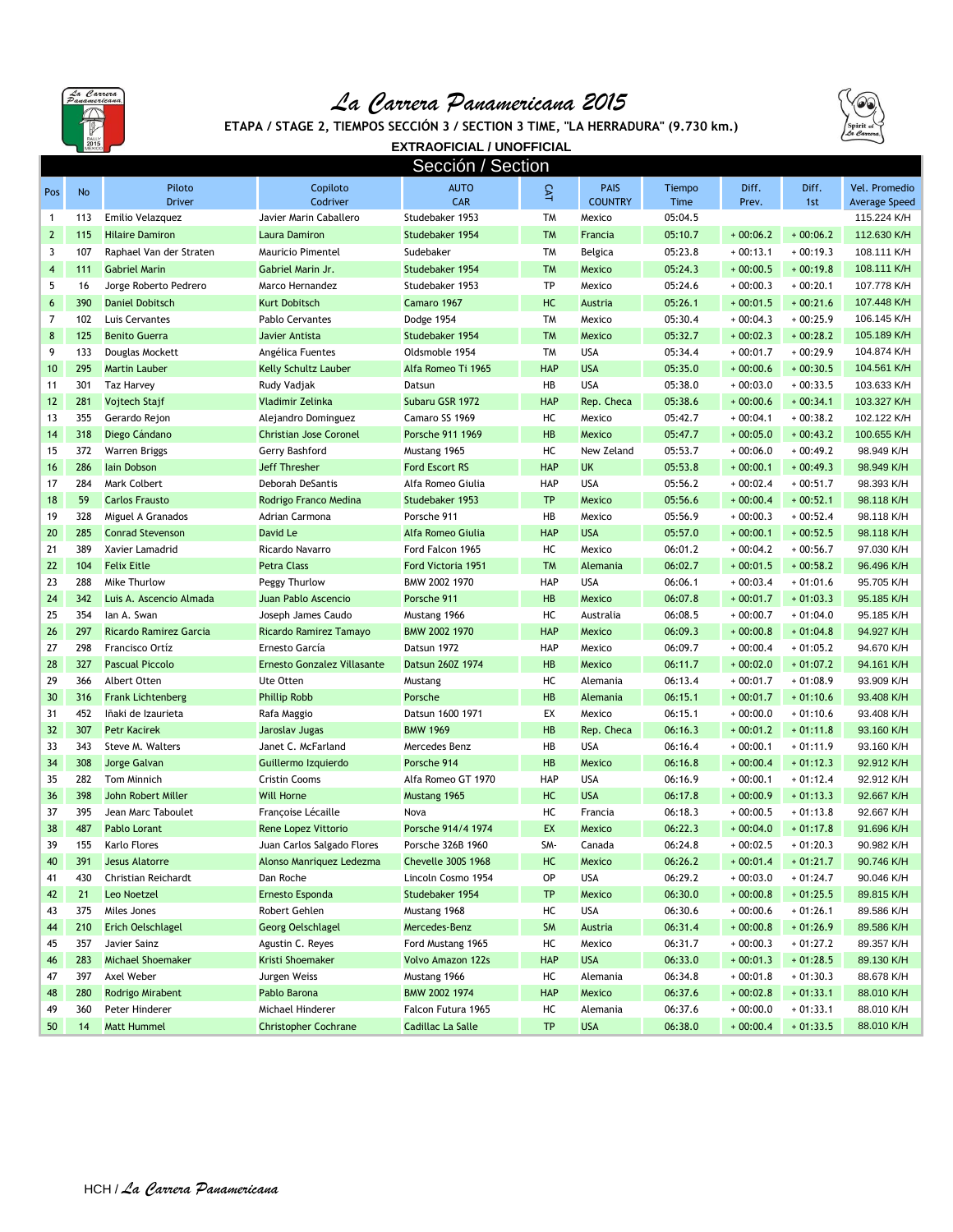

## *La Carrera Panamericana 2015*



**ETAPA / STAGE 2, TIEMPOS SECCIÓN 3 / SECTION 3 TIME, "LA HERRADURA" (9.730 km.)**

**EXTRAOFICIAL / UNOFFICIAL** Sección / Section

|              |            |                                         |                                       | <u>Jennin i nemini</u>                          |                 |                               |                    |                          |                          |                                       |
|--------------|------------|-----------------------------------------|---------------------------------------|-------------------------------------------------|-----------------|-------------------------------|--------------------|--------------------------|--------------------------|---------------------------------------|
| Pos          | No         | Piloto<br><b>Driver</b>                 | Copiloto<br>Codriver                  | <b>AUTO</b><br>CAR                              | CAT             | <b>PAIS</b><br><b>COUNTRY</b> | Tiempo<br>Time     | Diff.<br>Prev.           | Diff.<br>1st             | Vel. Promedio<br><b>Average Speed</b> |
| $\mathbf{1}$ | 113        | Emilio Velazquez                        | Javier Marin Caballero                | Studebaker 1953                                 | <b>TM</b>       | Mexico                        | 05:04.5            |                          |                          | 115.224 K/H                           |
| $\mathbf{2}$ | 115        | <b>Hilaire Damiron</b>                  | Laura Damiron                         | Studebaker 1954                                 | <b>TM</b>       | Francia                       | 05:10.7            | $+00:06.2$               | $+00:06.2$               | 112.630 K/H                           |
| 3            | 107        | Raphael Van der Straten                 | Mauricio Pimentel                     | Sudebaker                                       | <b>TM</b>       | Belgica                       | 05:23.8            | $+00:13.1$               | $+00:19.3$               | 108.111 K/H                           |
| 4            | 111        | <b>Gabriel Marin</b>                    | Gabriel Marin Jr.                     | Studebaker 1954                                 | <b>TM</b>       | <b>Mexico</b>                 | 05:24.3            | $+00:00.5$               | $+00:19.8$               | 108.111 K/H                           |
| 5            | 16         | Jorge Roberto Pedrero                   | Marco Hernandez                       | Studebaker 1953                                 | <b>TP</b>       | Mexico                        | 05:24.6            | $+00:00.3$               | $+00:20.1$               | 107.778 K/H                           |
| 6            | 390        | <b>Daniel Dobitsch</b>                  | <b>Kurt Dobitsch</b>                  | Camaro 1967                                     | HC              | <b>Austria</b>                | 05:26.1            | $+00:01.5$               | $+00:21.6$               | 107.448 K/H                           |
| 7            | 102        | Luis Cervantes                          | <b>Pablo Cervantes</b>                | Dodge 1954                                      | <b>TM</b>       | Mexico                        | 05:30.4            | $+00:04.3$               | $+00:25.9$               | 106.145 K/H                           |
| 8            | 125        | <b>Benito Guerra</b>                    | Javier Antista                        | Studebaker 1954                                 | <b>TM</b>       | <b>Mexico</b>                 | 05:32.7            | $+00:02.3$               | $+00:28.2$               | 105.189 K/H                           |
| 9            | 133        | Douglas Mockett                         | Angélica Fuentes                      | Oldsmoble 1954                                  | <b>TM</b>       | <b>USA</b>                    | 05:34.4            | $+00:01.7$               | $+00:29.9$               | 104.874 K/H                           |
| 10           | 295        | <b>Martin Lauber</b>                    | <b>Kelly Schultz Lauber</b>           | Alfa Romeo Ti 1965                              | <b>HAP</b>      | <b>USA</b>                    | 05:35.0            | $+00:00.6$               | $+00:30.5$               | 104.561 K/H                           |
| 11           | 301        | <b>Taz Harvey</b>                       | Rudy Vadjak                           | Datsun                                          | HB              | <b>USA</b>                    | 05:38.0            | $+00:03.0$               | $+00:33.5$               | 103.633 K/H                           |
| 12           | 281        | Vojtech Stajf                           | Vladimir Zelinka                      | Subaru GSR 1972                                 | <b>HAP</b>      | Rep. Checa                    | 05:38.6            | $+00:00.6$               | $+00:34.1$               | 103.327 K/H                           |
| 13           | 355        | Gerardo Rejon                           | Alejandro Dominguez                   | Camaro SS 1969                                  | HC              | Mexico                        | 05:42.7            | $+00:04.1$               | $+00:38.2$               | 102.122 K/H                           |
| 14           | 318        | Diego Cándano                           | <b>Christian Jose Coronel</b>         | Porsche 911 1969                                | <b>HB</b>       | <b>Mexico</b>                 | 05:47.7            | $+00:05.0$               | $+00:43.2$               | 100.655 K/H                           |
| 15           | 372        | Warren Briggs                           | Gerry Bashford                        | Mustang 1965                                    | HC              | New Zeland                    | 05:53.7            | $+00:06.0$               | $+00:49.2$               | 98.949 K/H                            |
| 16           | 286        | lain Dobson                             | Jeff Thresher                         | <b>Ford Escort RS</b>                           | <b>HAP</b>      | <b>UK</b>                     | 05:53.8            | $+00:00.1$               | $+00:49.3$               | 98.949 K/H                            |
| 17           | 284        | Mark Colbert                            | <b>Deborah DeSantis</b>               | Alfa Romeo Giulia                               | HAP             | <b>USA</b>                    | 05:56.2            | $+00:02.4$               | $+00:51.7$               | 98.393 K/H                            |
| 18           | 59         | <b>Carlos Frausto</b>                   | Rodrigo Franco Medina                 | Studebaker 1953                                 | <b>TP</b>       | <b>Mexico</b>                 | 05:56.6            | $+00:00.4$               | $+00:52.1$               | 98.118 K/H                            |
| 19           | 328        | Miguel A Granados                       | Adrian Carmona                        | Porsche 911                                     | HB              | Mexico                        | 05:56.9            | $+00:00.3$               | $+00:52.4$               | 98.118 K/H                            |
| 20           | 285        | <b>Conrad Stevenson</b>                 | David Le                              | Alfa Romeo Giulia                               | <b>HAP</b>      | <b>USA</b>                    | 05:57.0            | $+00:00.1$               | $+00:52.5$               | 98.118 K/H                            |
| 21           | 389        | Xavier Lamadrid                         | Ricardo Navarro                       | Ford Falcon 1965                                | HC              | Mexico                        | 06:01.2            | $+00:04.2$               | $+00:56.7$               | 97.030 K/H                            |
| 22           | 104        | <b>Felix Eitle</b>                      | <b>Petra Class</b>                    | Ford Victoria 1951                              | <b>TM</b>       | Alemania                      | 06:02.7            | $+00:01.5$               | $+00:58.2$               | 96.496 K/H                            |
| 23           | 288        | Mike Thurlow                            | Peggy Thurlow                         | BMW 2002 1970                                   | <b>HAP</b>      | <b>USA</b>                    | 06:06.1            | $+00:03.4$               | $+01:01.6$               | 95.705 K/H                            |
| 24           | 342        | Luis A. Ascencio Almada                 | Juan Pablo Ascencio                   | Porsche 911                                     | HB              | <b>Mexico</b>                 | 06:07.8            | $+00:01.7$               | $+01:03.3$               | 95.185 K/H                            |
| 25           | 354        | lan A. Swan                             | Joseph James Caudo                    | Mustang 1966                                    | HC              | Australia                     | 06:08.5            | $+00:00.7$               | $+01:04.0$               | 95.185 K/H                            |
| 26           | 297        | Ricardo Ramirez Garcia                  | Ricardo Ramirez Tamayo                | <b>BMW 2002 1970</b>                            | <b>HAP</b>      | <b>Mexico</b>                 | 06:09.3            | $+00:00.8$               | $+01:04.8$               | 94.927 K/H                            |
| 27           | 298        | Francisco Ortíz                         | Ernesto García                        | Datsun 1972                                     | <b>HAP</b>      | Mexico                        | 06:09.7            | $+00:00.4$               | $+01:05.2$               | 94.670 K/H                            |
| 28           | 327        | <b>Pascual Piccolo</b>                  | Ernesto Gonzalez Villasante           | Datsun 260Z 1974                                | HB              | <b>Mexico</b>                 | 06:11.7            | $+00:02.0$               | $+01:07.2$               | 94.161 K/H                            |
| 29           | 366        | Albert Otten                            | Ute Otten                             | Mustang                                         | HC              | Alemania                      | 06:13.4            | $+00:01.7$               | $+01:08.9$               | 93.909 K/H                            |
| 30           | 316        | <b>Frank Lichtenberg</b>                | <b>Phillip Robb</b>                   | Porsche                                         | <b>HB</b>       | Alemania                      | 06:15.1            | $+00:01.7$               | $+01:10.6$               | 93.408 K/H                            |
| 31           | 452        | lñaki de Izaurieta                      | Rafa Maggio                           | Datsun 1600 1971                                | EX              | Mexico                        | 06:15.1            | $+00:00.0$               | $+01:10.6$               | 93.408 K/H                            |
| 32           | 307        | <b>Petr Kacirek</b>                     | Jaroslav Jugas                        | <b>BMW 1969</b>                                 | HB              | Rep. Checa                    | 06:16.3            | $+00:01.2$               | $+01:11.8$               | 93.160 K/H                            |
| 33           | 343        | Steve M. Walters                        | Janet C. McFarland                    | Mercedes Benz                                   | HB              | <b>USA</b>                    | 06:16.4            | $+00:00.1$               | $+01:11.9$               | 93.160 K/H                            |
| 34           | 308        | Jorge Galvan                            | Guillermo Izquierdo                   | Porsche 914                                     | <b>HB</b>       | <b>Mexico</b>                 | 06:16.8            | $+00:00.4$               | $+01:12.3$               | 92.912 K/H                            |
| 35           | 282        | <b>Tom Minnich</b>                      | <b>Cristin Cooms</b>                  | Alfa Romeo GT 1970                              | HAP             | <b>USA</b>                    | 06:16.9            | $+00:00.1$               | $+01:12.4$               | 92.912 K/H                            |
| 36           | 398        | John Robert Miller                      | <b>Will Horne</b>                     | Mustang 1965                                    | HC              | <b>USA</b>                    | 06:17.8            | $+00:00.9$               | $+01:13.3$               | 92.667 K/H                            |
| 37           | 395        | Jean Marc Taboulet                      | Françoise Lécaille                    | Nova                                            | HC              | Francia                       | 06:18.3            | $+00:00.5$               | $+01:13.8$               | 92.667 K/H                            |
| 38           | 487        | Pablo Lorant                            | Rene Lopez Vittorio                   | Porsche 914/4 1974                              | EX              | <b>Mexico</b>                 | 06:22.3            | $+00:04.0$               | $+01:17.8$               | 91.696 K/H                            |
| 39<br>40     | 155<br>391 | Karlo Flores<br><b>Jesus Alatorre</b>   | Juan Carlos Salgado Flores            | Porsche 326B 1960                               | SM-<br>HC       | Canada                        | 06:24.8<br>06:26.2 | $+00:02.5$<br>$+00:01.4$ | $+01:20.3$<br>$+01:21.7$ | 90.982 K/H                            |
| 41           | 430        | Christian Reichardt                     | Alonso Manriquez Ledezma<br>Dan Roche | <b>Chevelle 300S 1968</b><br>Lincoln Cosmo 1954 | OP              | <b>Mexico</b><br>USA          | 06:29.2            | $+00:03.0$               | $+01:24.7$               | 90.746 K/H<br>90.046 K/H              |
|              | 21         | Leo Noetzel                             | Ernesto Esponda                       | Studebaker 1954                                 | <b>TP</b>       | Mexico                        | 06:30.0            | $+00:00.8$               | $+01:25.5$               | 89.815 K/H                            |
| 42           |            |                                         | Robert Gehlen                         |                                                 |                 | <b>USA</b>                    |                    |                          |                          | 89.586 K/H                            |
| 43<br>44     | 375<br>210 | Miles Jones<br><b>Erich Oelschlagel</b> | <b>Georg Oelschlagel</b>              | Mustang 1968<br>Mercedes-Benz                   | HC<br><b>SM</b> | Austria                       | 06:30.6<br>06:31.4 | $+00:00.6$<br>$+00:00.8$ | $+01:26.1$<br>$+01:26.9$ | 89.586 K/H                            |
| 45           | 357        | Javier Sainz                            | Agustin C. Reyes                      | Ford Mustang 1965                               | HC              | Mexico                        | 06:31.7            | $+00:00.3$               | $+01:27.2$               | 89.357 K/H                            |
| 46           | 283        | <b>Michael Shoemaker</b>                | Kristi Shoemaker                      | <b>Volvo Amazon 122s</b>                        | <b>HAP</b>      | <b>USA</b>                    | 06:33.0            | $+00:01.3$               | $+01:28.5$               | 89.130 K/H                            |
| 47           | 397        | Axel Weber                              | Jurgen Weiss                          | Mustang 1966                                    | HC              | Alemania                      | 06:34.8            | $+00:01.8$               | $+01:30.3$               | 88.678 K/H                            |
| 48           | 280        | Rodrigo Mirabent                        | Pablo Barona                          | BMW 2002 1974                                   | <b>HAP</b>      | Mexico                        | 06:37.6            | $+00:02.8$               | $+01:33.1$               | 88.010 K/H                            |
| 49           | 360        | Peter Hinderer                          | Michael Hinderer                      | Falcon Futura 1965                              | HC              | Alemania                      | 06:37.6            | $+00:00.0$               | $+01:33.1$               | 88.010 K/H                            |
| 50           | 14         | Matt Hummel                             | <b>Christopher Cochrane</b>           | Cadillac La Salle                               | <b>TP</b>       | <b>USA</b>                    | 06:38.0            | $+00:00.4$               | $+01:33.5$               | 88.010 K/H                            |
|              |            |                                         |                                       |                                                 |                 |                               |                    |                          |                          |                                       |